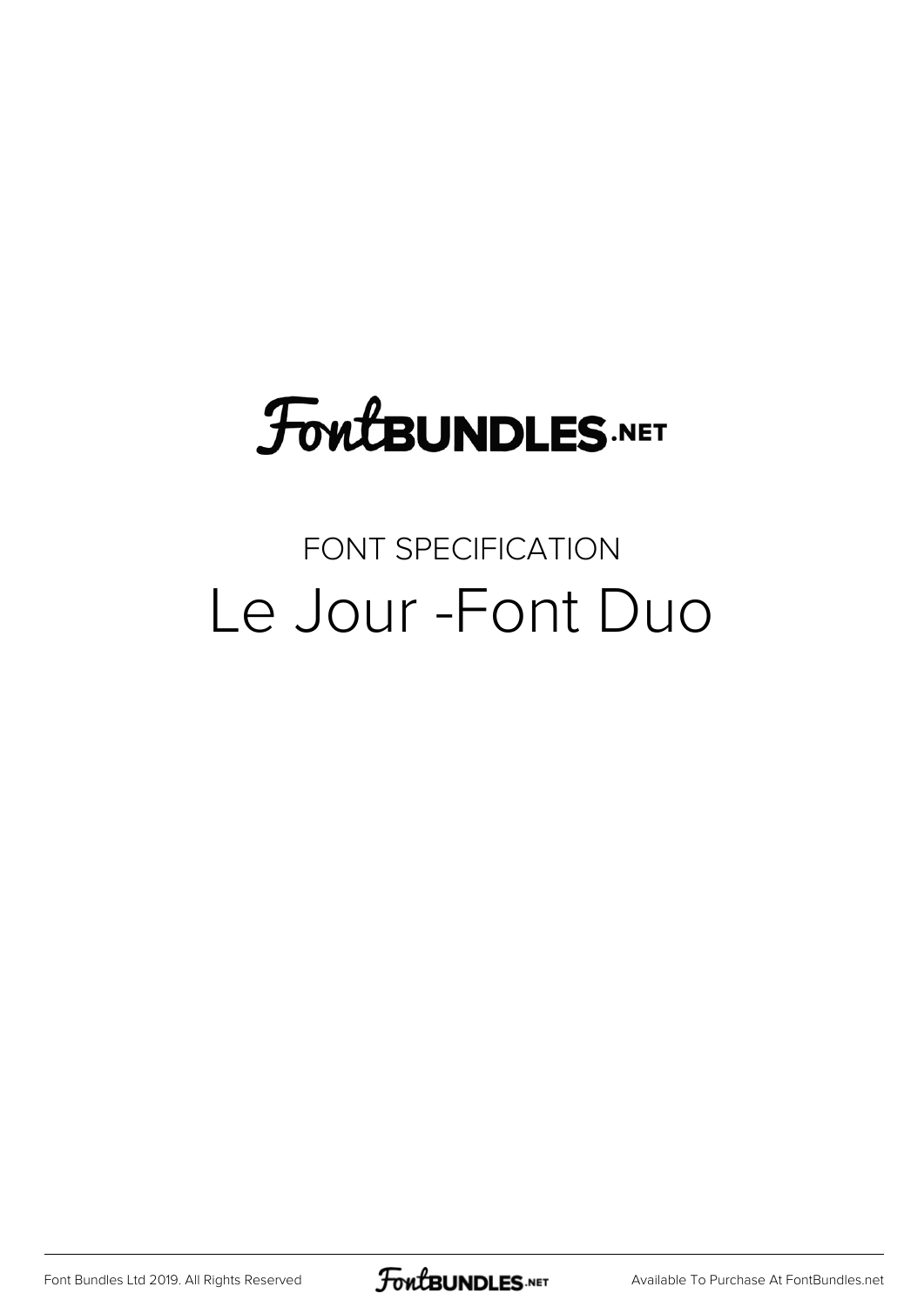## **FoutBUNDLES.NET**

#### FONT SPECIFICATION Le Jour -Font Duo

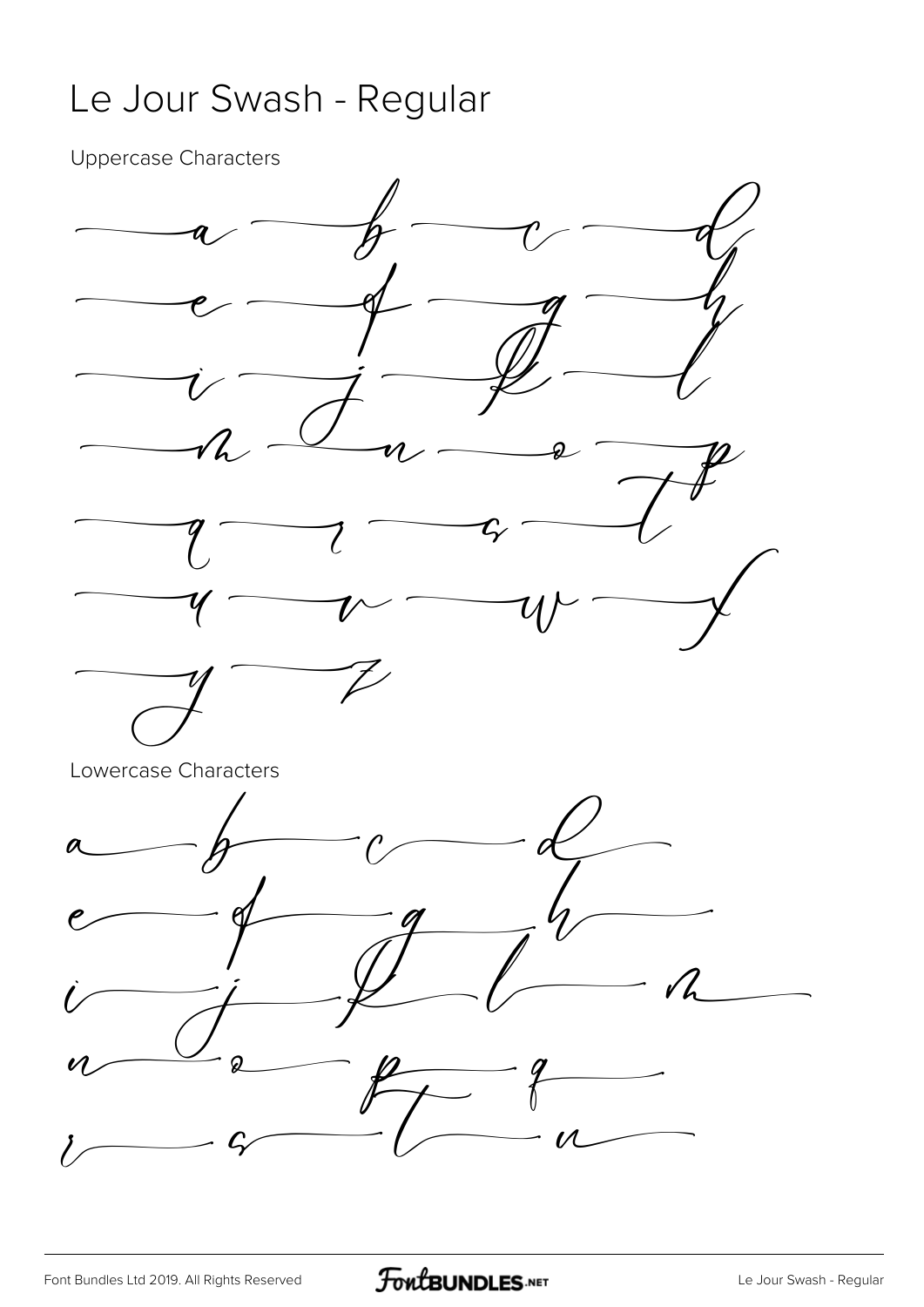#### Le Jour Swash - Regular

Uppercase Characters

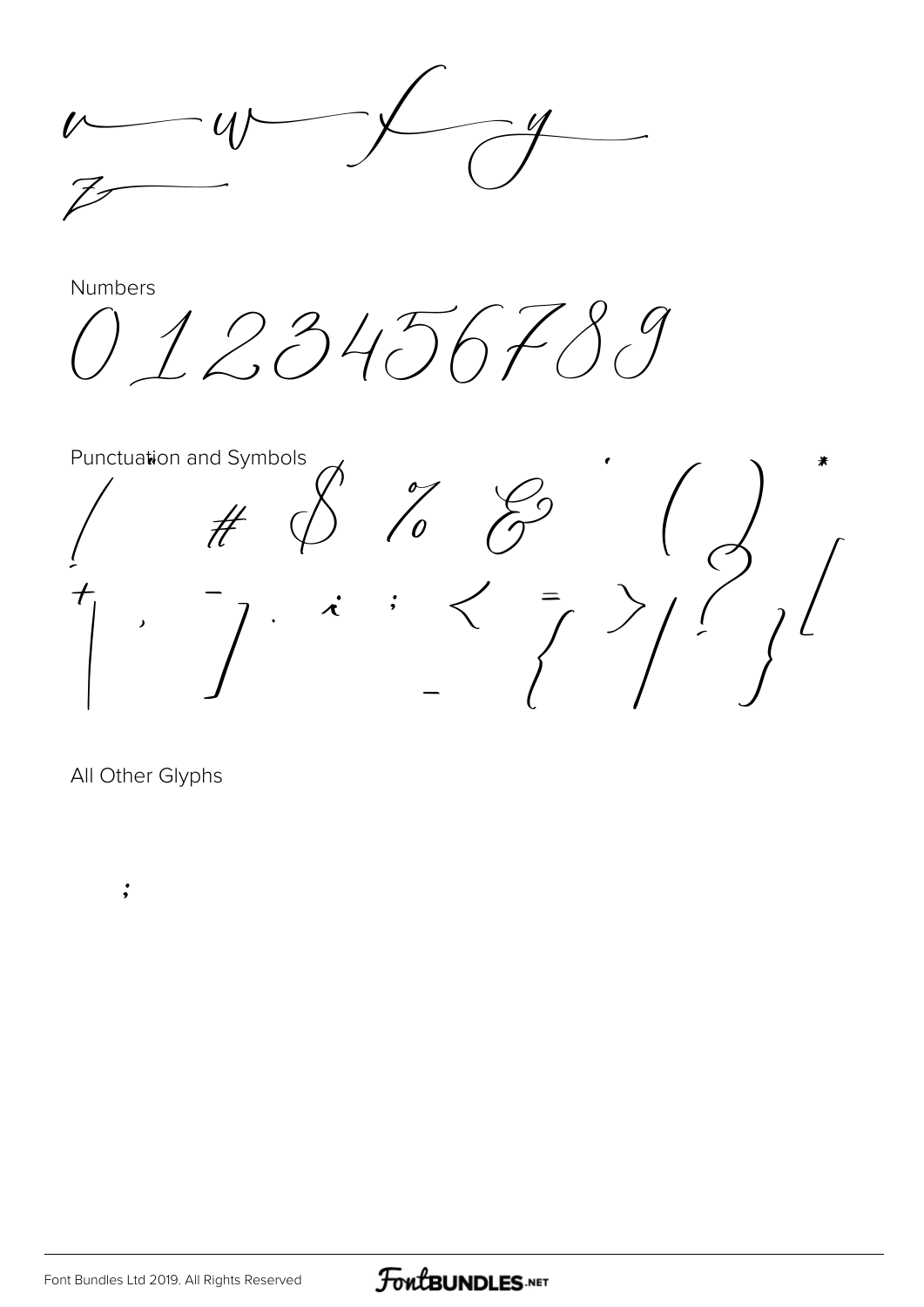Numbers 1234567  $\int$ Punctuation and Symbols ₩  $\begin{pmatrix} 1 & 1 \\ 0 & 1 \\ 0 & 1 \end{pmatrix}$  $\frac{1}{2}$  $#$  $\int$  $\lambda$ 

All Other Glyphs

 $\dot{\mathbf{z}}$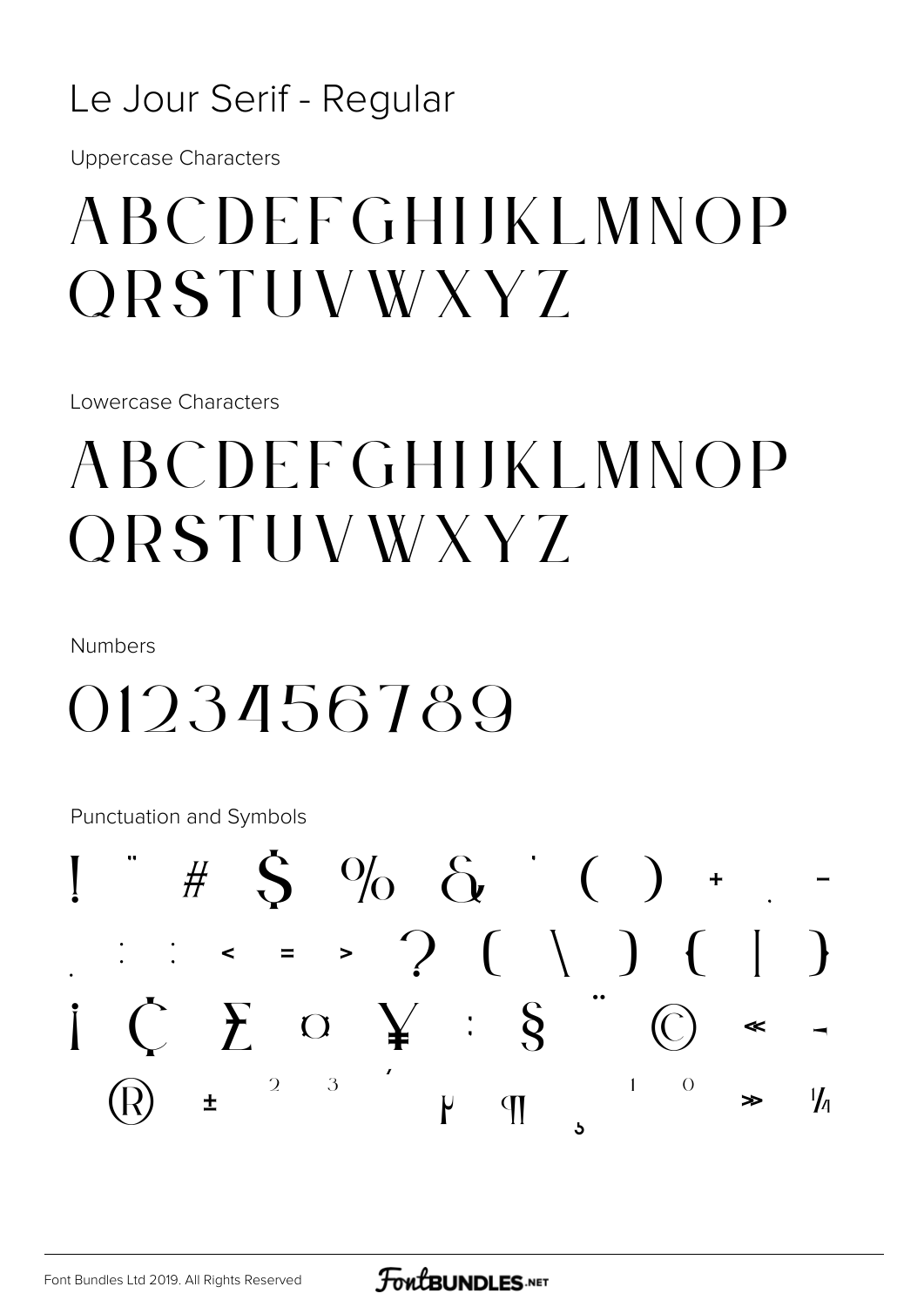#### Le Jour Serif - Regular

**Uppercase Characters** 

### ABCDEFGHIJKLMNOP ORSTUVWXYZ

Lowercase Characters

## **ABCDEFGHIJKLMNOP ORSTUVWXYZ**

**Numbers** 

## 0123456789

Punctuation and Symbols

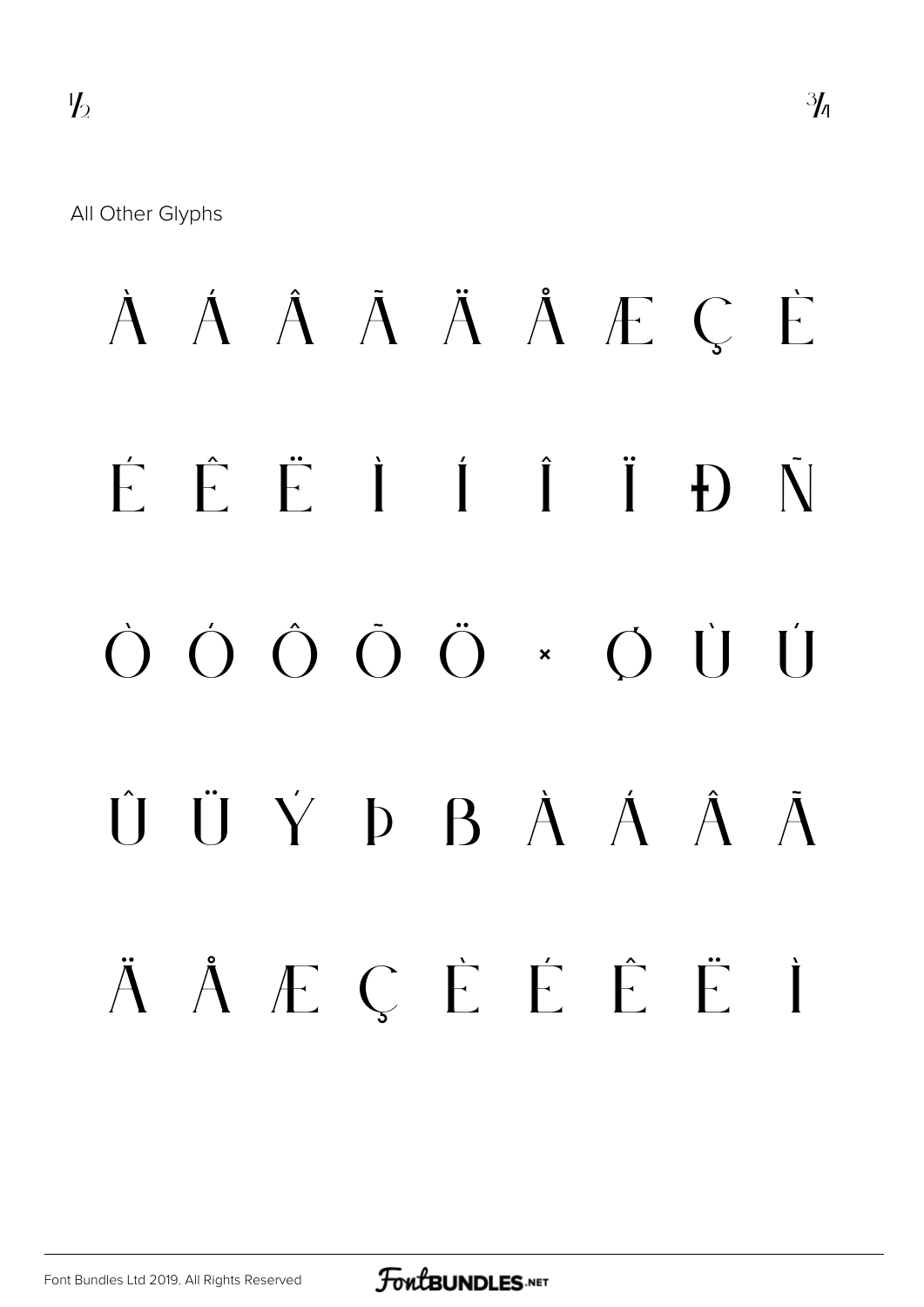All Other Glyphs

# À Á Â Ã Ä Å Æ Ç È É Ê Ë Ì Í Î Ï Ð Ñ Ò Ó Ô Õ Ö × Ø Ù Ú Û Ü Ý Þ ß à á â ã Ä Å E Ç È É È Ë İ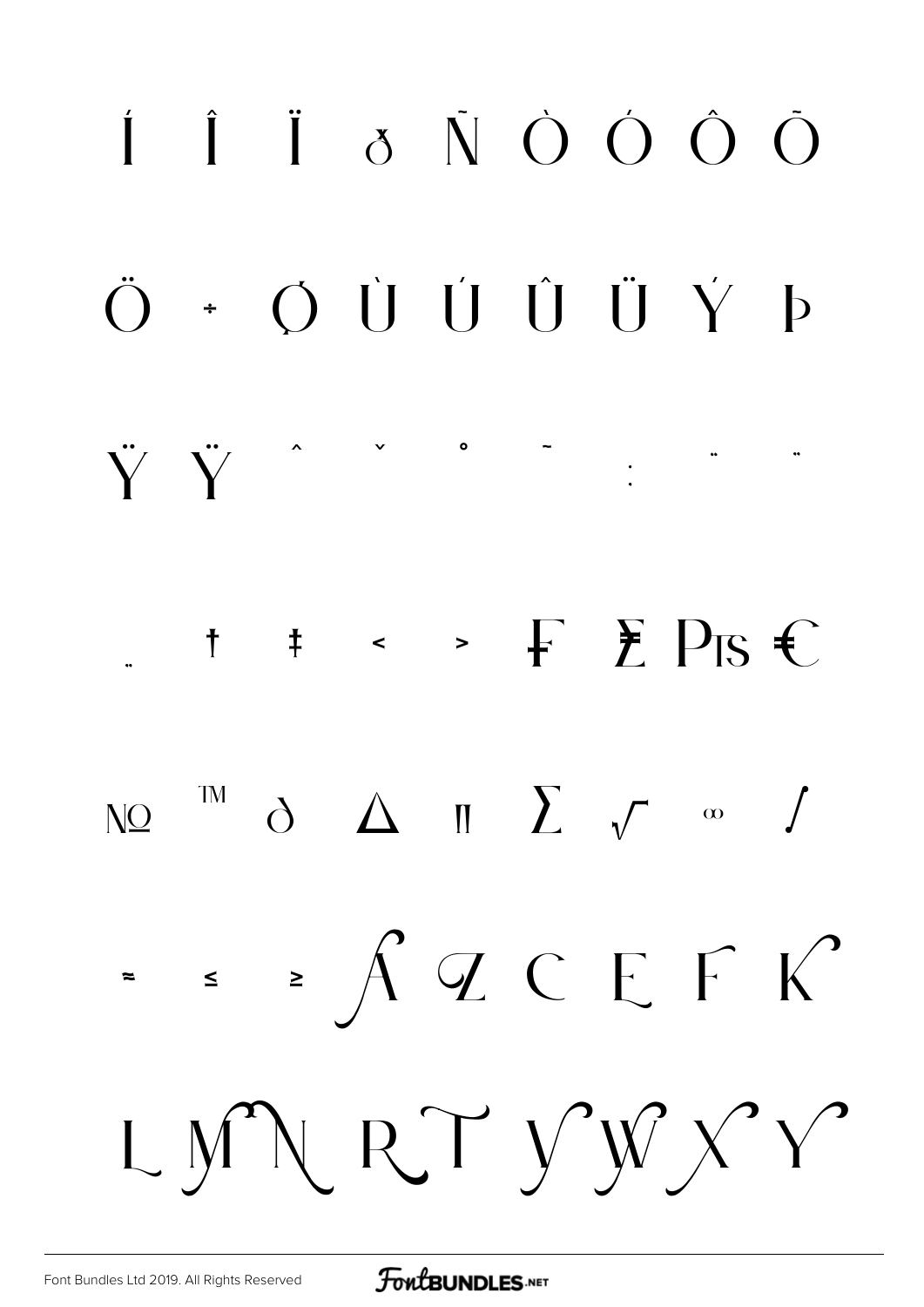

**FoutBUNDLES**.NET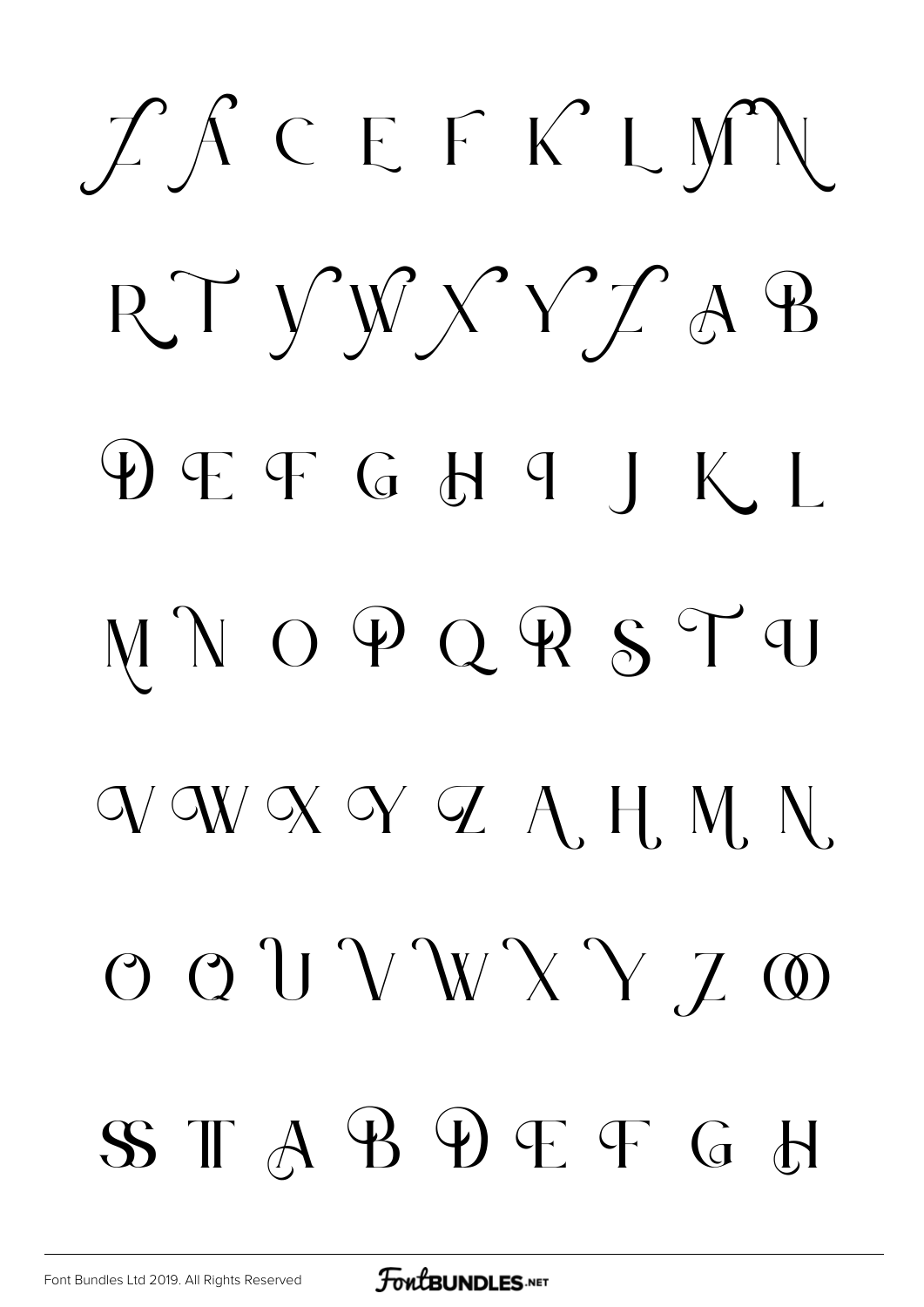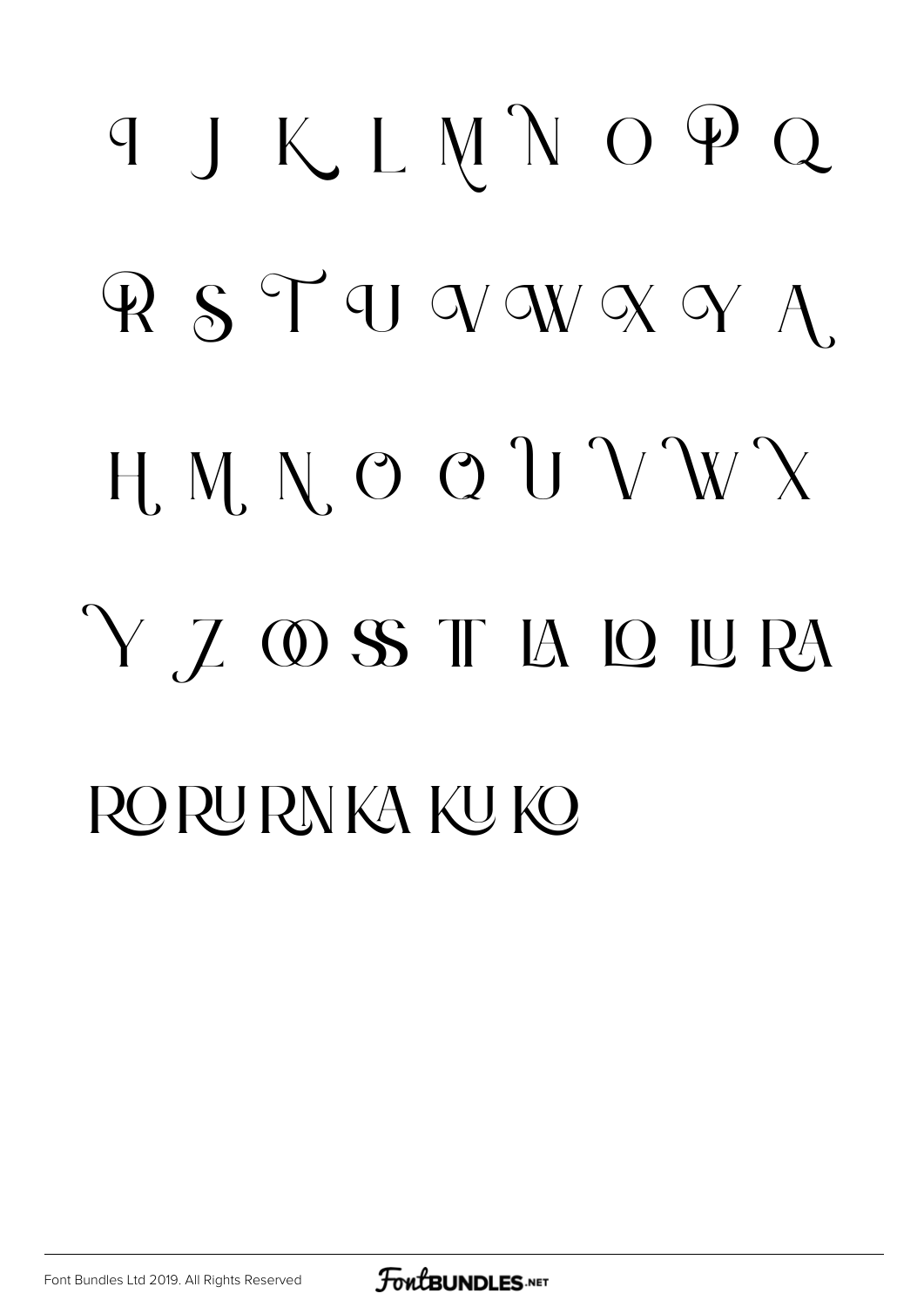# TJKLMNOPQ RSTUVWXYA. H. M. N. O Q U V W X Y Z OSS T LA LO LURA RORURNKA KUKO

[Font Bundles Ltd 2019. All Rights Reserved](https://fontbundles.net/)

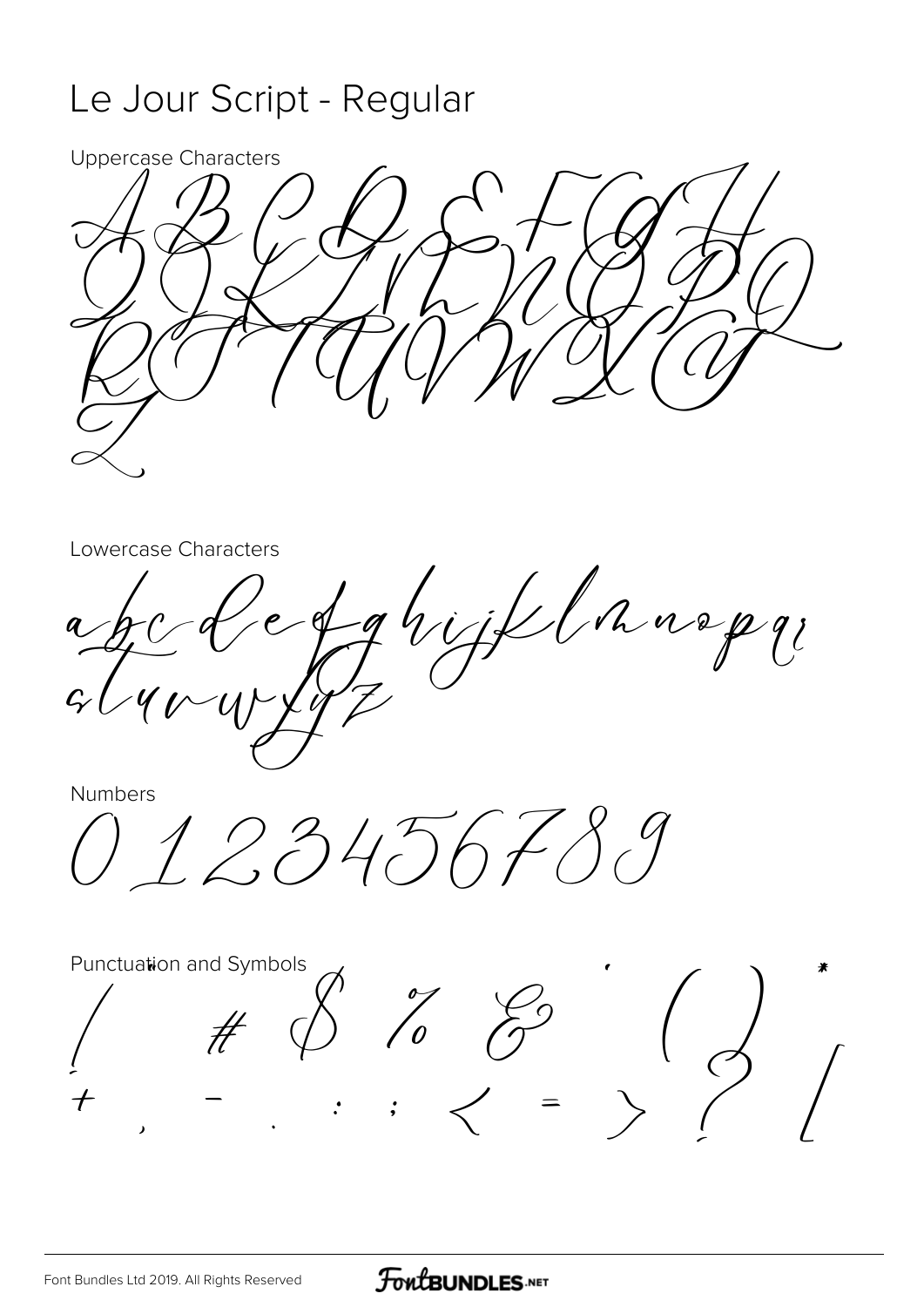#### Le Jour Script - Regular



Lowercase Characters

c fahijklaarp

Numbers

123456789

Punctuation and Symbols  $H \circ \int_{0}^{\infty} \int_{0}^{\infty} \int_{0}^{\infty}$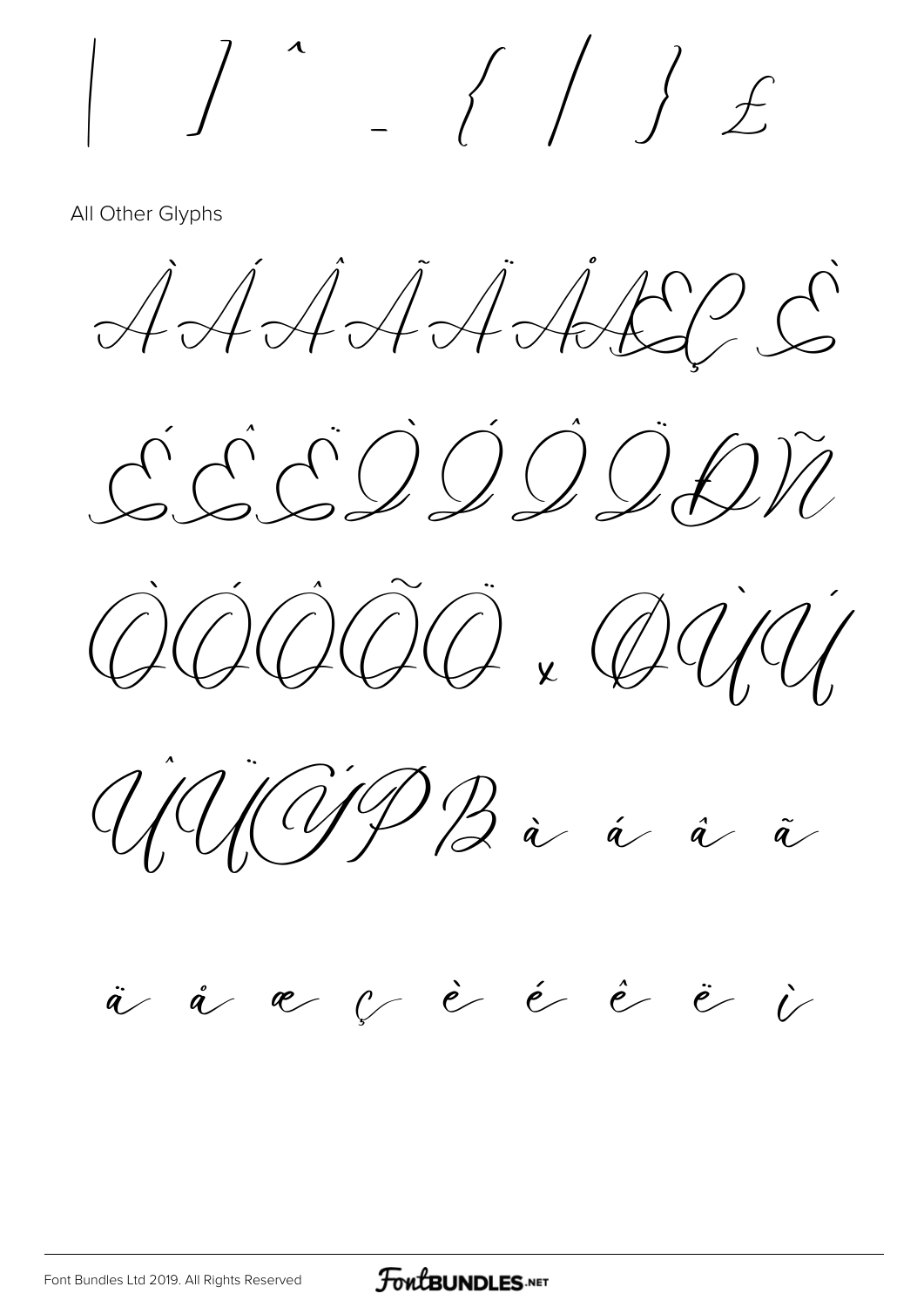$\int$ 

All Other Glyphs

AAAAAAA







#### à å æ  $c$  è é è è i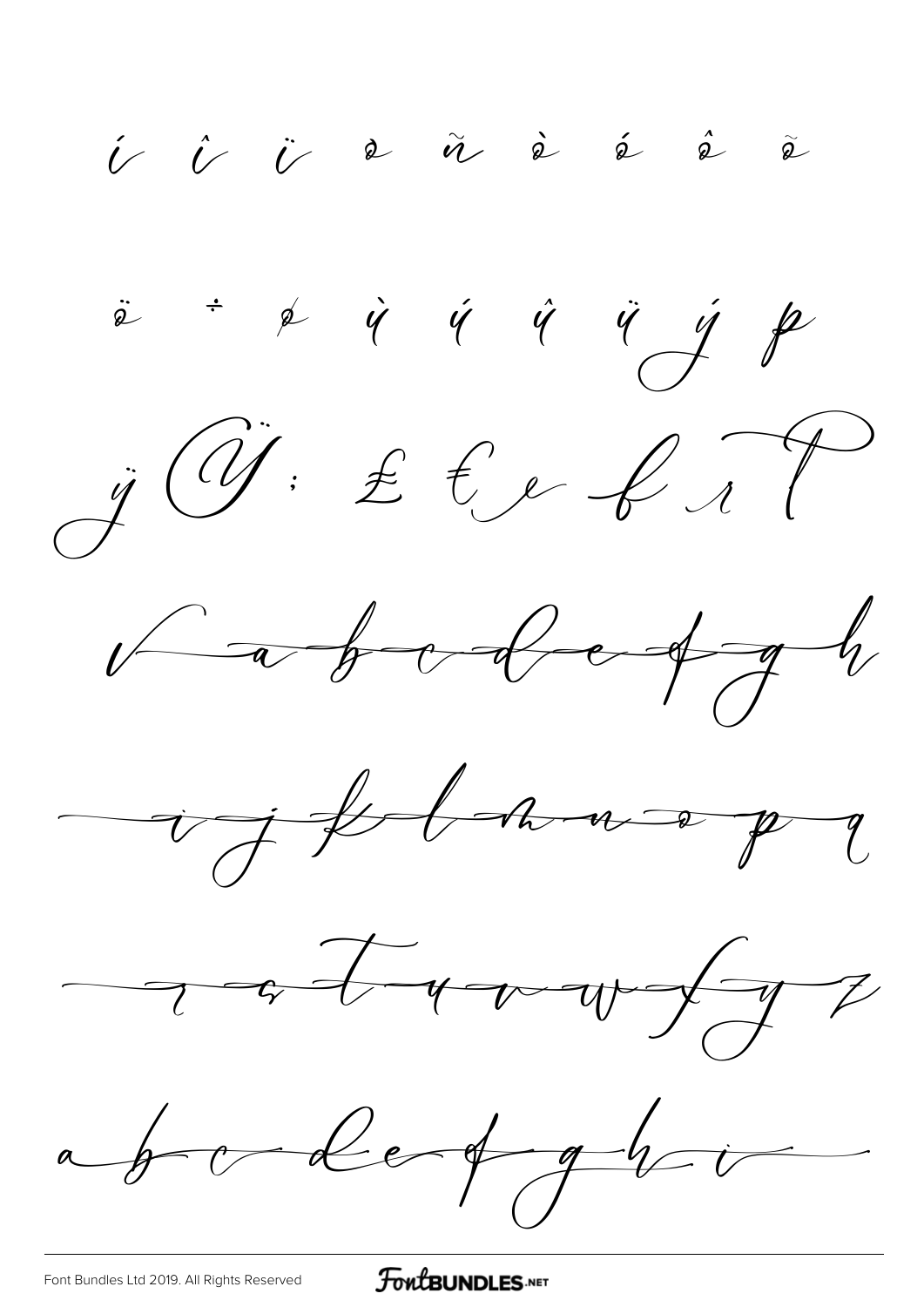$\begin{array}{ccccccccccccccccc} \hat{\nu} & \hat{\nu} & \hat{\nu} & \hat{\alpha} & \hat{\alpha} & \hat{\omega} & \hat{\omega} & \hat{\omega} & \hat{\omega} & \hat{\omega} & \hat{\omega} & \hat{\omega} & \hat{\omega} & \hat{\omega} & \hat{\omega} & \hat{\omega} & \hat{\omega} & \hat{\omega} & \hat{\omega} & \hat{\omega} & \hat{\omega} & \hat{\omega} & \hat{\omega} & \hat{\omega} & \hat{\omega} & \hat{\omega} & \hat{\omega} & \hat{\omega} & \hat{\omega} & \hat{\omega} & \hat{\omega} & \hat{\omega} & \hat{\omega} & \hat{\omega} & \hat{\omega}$  $\ddot{\phi}$   $\phi$   $\dot{\phi}$   $\dot{\phi}$   $\ddot{\phi}$   $\ddot{\phi}$   $\dot{\phi}$   $\phi$  $\ddot{y}$  (if  $\ddot{x}$   $\ddot{z}$   $\ddot{z}$   $\ddot{z}$   $\ddot{z}$  $\sqrt{a^2 + b^2 + c^2 + d^2}$ ight avoy and way of abordert ghi

FontBUNDLES.NET